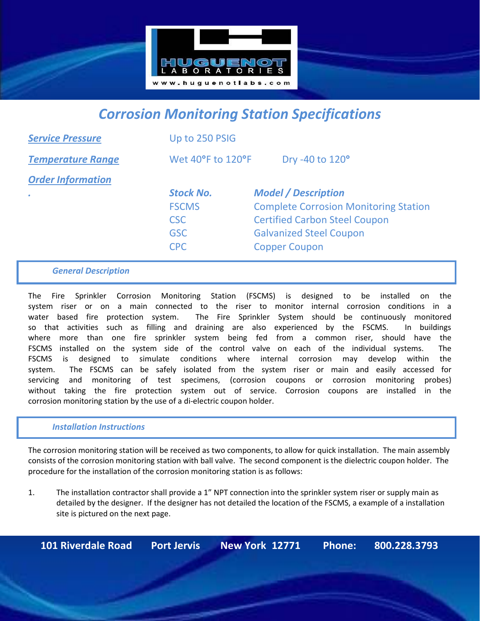

# *Corrosion Monitoring Station Specifications*

| <b>Service Pressure</b>  | Up to 250 PSIG    |                                              |
|--------------------------|-------------------|----------------------------------------------|
| <b>Temperature Range</b> | Wet 40°F to 120°F | Dry -40 to 120°                              |
| <b>Order Information</b> |                   |                                              |
|                          | <b>Stock No.</b>  | <b>Model / Description</b>                   |
|                          | <b>FSCMS</b>      | <b>Complete Corrosion Monitoring Station</b> |
|                          | <b>CSC</b>        | <b>Certified Carbon Steel Coupon</b>         |
|                          | <b>GSC</b>        | <b>Galvanized Steel Coupon</b>               |
|                          | <b>CPC</b>        | <b>Copper Coupon</b>                         |
|                          |                   |                                              |

#### *General Description*

The Fire Sprinkler Corrosion Monitoring Station (FSCMS) is designed to be installed on the system riser or on a main connected to the riser to monitor internal corrosion conditions in a water based fire protection system. The Fire Sprinkler System should be continuously monitored so that activities such as filling and draining are also experienced by the FSCMS. In buildings where more than one fire sprinkler system being fed from a common riser, should have the FSCMS installed on the system side of the control valve on each of the individual systems. The FSCMS is designed to simulate conditions where internal corrosion may develop within the system. The FSCMS can be safely isolated from the system riser or main and easily accessed for servicing and monitoring of test specimens, (corrosion coupons or corrosion monitoring probes) without taking the fire protection system out of service. Corrosion coupons are installed in the corrosion monitoring station by the use of a di-electric coupon holder.

#### *Installation Instructions*

The corrosion monitoring station will be received as two components, to allow for quick installation. The main assembly consists of the corrosion monitoring station with ball valve. The second component is the dielectric coupon holder. The procedure for the installation of the corrosion monitoring station is as follows:

1. The installation contractor shall provide a 1" NPT connection into the sprinkler system riser or supply main as detailed by the designer. If the designer has not detailed the location of the FSCMS, a example of a installation site is pictured on the next page.

**101 Riverdale Road Port Jervis New York 12771 Phone: 800.228.3793**